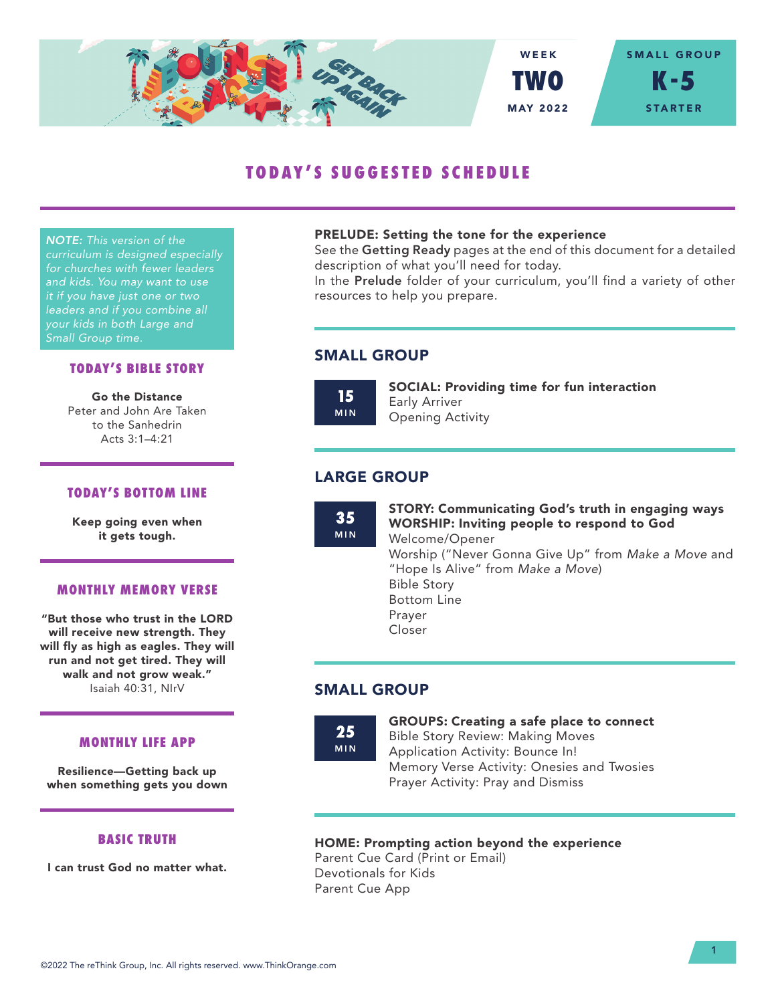

# **TODAY'S SUGGESTED SCHEDULE**

*NOTE: This version of the curriculum is designed especially for churches with fewer leaders and kids. You may want to use it if you have just one or two leaders and if you combine all your kids in both Large and Small Group time.*

## **TODAY'S BIBLE STORY**

Go the Distance Peter and John Are Taken to the Sanhedrin Acts 3:1–4:21

## **TODAY'S BOTTOM LINE**

Keep going even when it gets tough.

## **MONTHLY MEMORY VERSE**

"But those who trust in the LORD will receive new strength. They will fly as high as eagles. They will run and not get tired. They will walk and not grow weak." Isaiah 40:31, NIrV

#### **MONTHLY LIFE APP**

Resilience—Getting back up when something gets you down

## **BASIC TRUTH**

I can trust God no matter what.

#### PRELUDE: Setting the tone for the experience

See the Getting Ready pages at the end of this document for a detailed description of what you'll need for today.

In the Prelude folder of your curriculum, you'll find a variety of other resources to help you prepare.

# SMALL GROUP

**15** MIN SOCIAL: Providing time for fun interaction Early Arriver Opening Activity

# LARGE GROUP

**35** MIN STORY: Communicating God's truth in engaging ways WORSHIP: Inviting people to respond to God Welcome/Opener Worship ("Never Gonna Give Up" from *Make a Move* and "Hope Is Alive" from *Make a Move*) Bible Story Bottom Line Prayer Closer

# SMALL GROUP

**25** MIN

### GROUPS: Creating a safe place to connect Bible Story Review: Making Moves Application Activity: Bounce In! Memory Verse Activity: Onesies and Twosies

HOME: Prompting action beyond the experience

Prayer Activity: Pray and Dismiss

Parent Cue Card (Print or Email) Devotionals for Kids Parent Cue App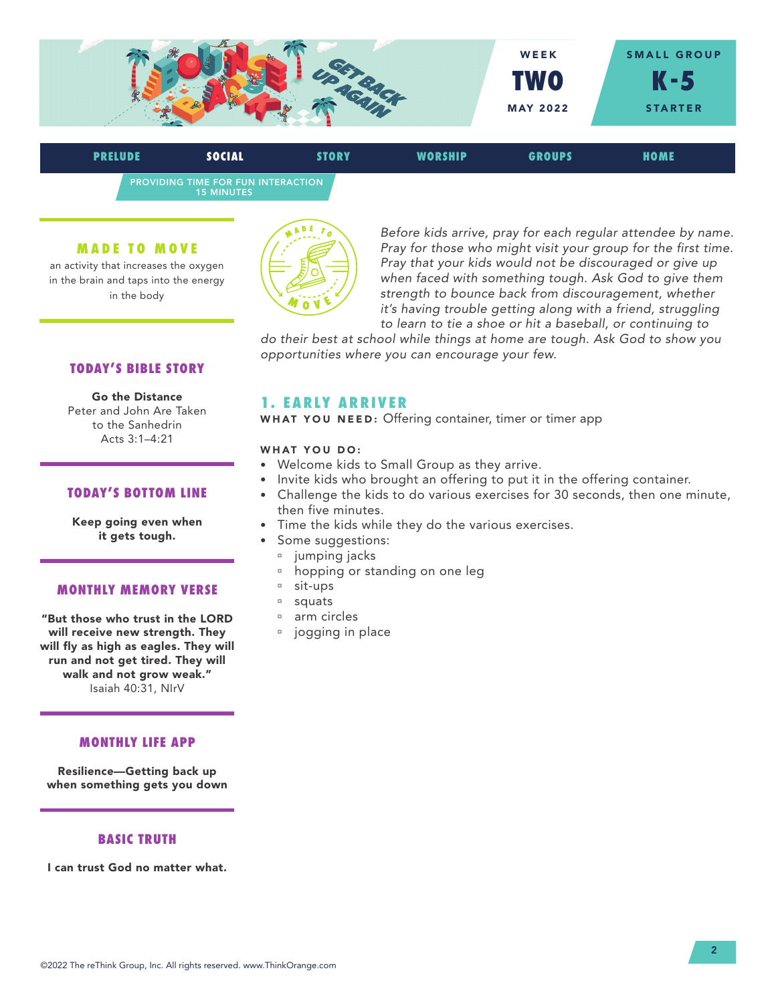

PROVIDING TIME FOR FUN INTERACTION 15 MINUTES **PRELUDE SOCIAL STORY WORSHIP GROUPS HOME**

#### **MADE TO MOVE**

an activity that increases the oxygen in the brain and taps into the energy in the body



*Before kids arrive, pray for each regular attendee by name. Pray for those who might visit your group for the first time. Pray that your kids would not be discouraged or give up when faced with something tough. Ask God to give them strength to bounce back from discouragement, whether it's having trouble getting along with a friend, struggling to learn to tie a shoe or hit a baseball, or continuing to* 

*do their best at school while things at home are tough. Ask God to show you opportunities where you can encourage your few.*

## **TODAY'S BIBLE STORY**

Go the Distance Peter and John Are Taken to the Sanhedrin Acts 3:1–4:21

### **TODAY'S BOTTOM LINE**

Keep going even when it gets tough.

### **MONTHLY MEMORY VERSE**

"But those who trust in the LORD will receive new strength. They will fly as high as eagles. They will run and not get tired. They will walk and not grow weak." Isaiah 40:31, NIrV

#### **MONTHLY LIFE APP**

Resilience—Getting back up when something gets you down

## **BASIC TRUTH**

I can trust God no matter what.

# **1. EARLY ARRIVER**

WHAT YOU NEED: Offering container, timer or timer app

#### WHAT YOU DO:

- Welcome kids to Small Group as they arrive.
- Invite kids who brought an offering to put it in the offering container.
- Challenge the kids to do various exercises for 30 seconds, then one minute, then five minutes.
- Time the kids while they do the various exercises.
	- Some suggestions:
	- <sup>a</sup> jumping jacks
	- <sup>n</sup> hopping or standing on one leg
	- □ sit-ups
	- <sup>□</sup> squats
	- <sup>¤</sup> arm circles
	- **i** jogging in place

#### ©2022 The reThink Group, Inc. All rights reserved. www.ThinkOrange.com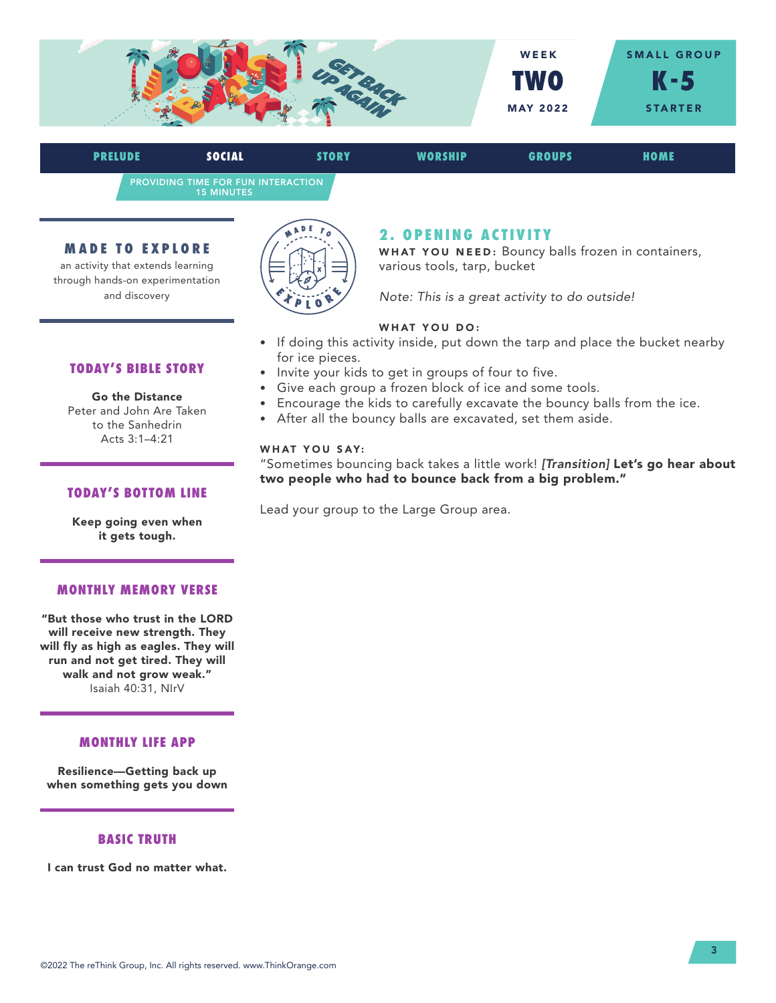

PROVIDING TIME FOR FUN INTERACTION 15 MINUTES **PRELUDE SOCIAL STORY WORSHIP GROUPS HOME**

#### **MADE TO EXPLORE**

an activity that extends learning through hands-on experimentation and discovery



# **2 . O P E N I N G A C T I V I T Y**

WHAT YOU NEED: Bouncy balls frozen in containers, various tools, tarp, bucket

*Note: This is a great activity to do outside!* 

### WHAT YOU DO:

- If doing this activity inside, put down the tarp and place the bucket nearby for ice pieces.
- Invite your kids to get in groups of four to five.
- Give each group a frozen block of ice and some tools.
- Encourage the kids to carefully excavate the bouncy balls from the ice.
- After all the bouncy balls are excavated, set them aside.

#### WHAT YOU SAY:

"Sometimes bouncing back takes a little work! *[Transition]* Let's go hear about two people who had to bounce back from a big problem."

Lead your group to the Large Group area.

**TODAY'S BIBLE STORY**

Go the Distance Peter and John Are Taken to the Sanhedrin Acts 3:1–4:21

## **TODAY'S BOTTOM LINE**

Keep going even when it gets tough.

## **MONTHLY MEMORY VERSE**

"But those who trust in the LORD will receive new strength. They will fly as high as eagles. They will run and not get tired. They will walk and not grow weak." Isaiah 40:31, NIrV

#### **MONTHLY LIFE APP**

Resilience—Getting back up when something gets you down

## **BASIC TRUTH**

I can trust God no matter what.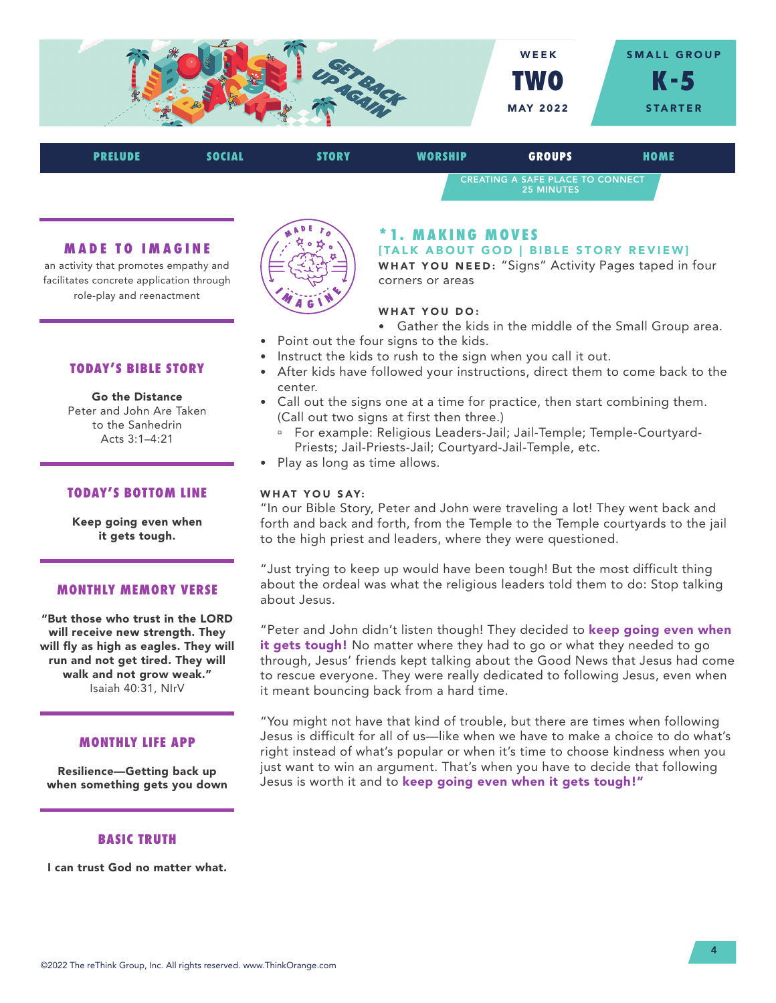

| <b>PRELUDE</b> | <b>SOCIAL</b> | <b>STORY</b> | WORSHIP                                               | <b>GROUPS</b> | HOME |
|----------------|---------------|--------------|-------------------------------------------------------|---------------|------|
|                |               |              | CREATING A SAFE PLACE TO CONNECT<br><b>25 MINUTES</b> |               |      |

#### **MADE TO IMAGINE**

an activity that promotes empathy and facilitates concrete application through role-play and reenactment



Go the Distance Peter and John Are Taken to the Sanhedrin Acts 3:1–4:21

### **TODAY'S BOTTOM LINE**

Keep going even when it gets tough.

### **MONTHLY MEMORY VERSE**

"But those who trust in the LORD will receive new strength. They will fly as high as eagles. They will run and not get tired. They will walk and not grow weak." Isaiah 40:31, NIrV

#### **MONTHLY LIFE APP**

Resilience—Getting back up when something gets you down

# **BASIC TRUTH**

I can trust God no matter what.



## **\* 1. M A K I N G M O V E S**

[TALK ABOUT GOD | BIBLE STORY REVIEW]

WHAT YOU NEED: "Signs" Activity Pages taped in four corners or areas

#### WHAT YOU DO:

- Gather the kids in the middle of the Small Group area.
- Point out the four signs to the kids.
- Instruct the kids to rush to the sign when you call it out.
- After kids have followed your instructions, direct them to come back to the center.
- Call out the signs one at a time for practice, then start combining them. (Call out two signs at first then three.)
	- <sup>o</sup> For example: Religious Leaders-Jail; Jail-Temple; Temple-Courtyard-Priests; Jail-Priests-Jail; Courtyard-Jail-Temple, etc.
- Play as long as time allows.

### WHAT YOU SAY:

"In our Bible Story, Peter and John were traveling a lot! They went back and forth and back and forth, from the Temple to the Temple courtyards to the jail to the high priest and leaders, where they were questioned.

"Just trying to keep up would have been tough! But the most difficult thing about the ordeal was what the religious leaders told them to do: Stop talking about Jesus.

"Peter and John didn't listen though! They decided to keep going even when it gets tough! No matter where they had to go or what they needed to go through, Jesus' friends kept talking about the Good News that Jesus had come to rescue everyone. They were really dedicated to following Jesus, even when it meant bouncing back from a hard time.

"You might not have that kind of trouble, but there are times when following Jesus is difficult for all of us—like when we have to make a choice to do what's right instead of what's popular or when it's time to choose kindness when you just want to win an argument. That's when you have to decide that following Jesus is worth it and to keep going even when it gets tough!"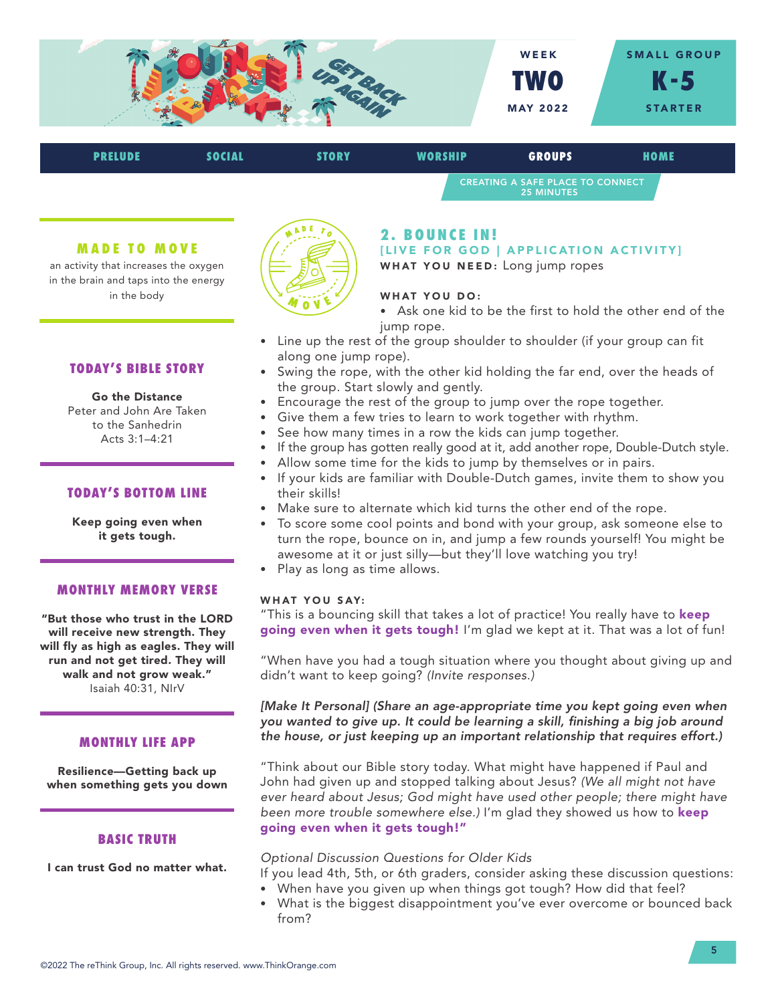

| <b>PRELUDE</b> | <b>SOCIAL</b> | <b>STORY</b> | <b>WORSHIP</b> | <b>GROUPS</b>                                                | HOME |  |
|----------------|---------------|--------------|----------------|--------------------------------------------------------------|------|--|
|                |               |              |                | <b>CREATING A SAFE PLACE TO CONNECT</b><br><b>25 MINUTES</b> |      |  |

#### **MADE TO MOVE**

an activity that increases the oxygen in the brain and taps into the energy in the body

## **TODAY'S BIBLE STORY**

Go the Distance Peter and John Are Taken to the Sanhedrin Acts 3:1–4:21

### **TODAY'S BOTTOM LINE**

Keep going even when it gets tough.

## **MONTHLY MEMORY VERSE**

"But those who trust in the LORD will receive new strength. They will fly as high as eagles. They will run and not get tired. They will walk and not grow weak." Isaiah 40:31, NIrV

#### **MONTHLY LIFE APP**

Resilience—Getting back up when something gets you down

### **BASIC TRUTH**

I can trust God no matter what.



## **2 . B O U N C E I N !**

[LIVE FOR GOD | APPLICATION ACTIVITY] WHAT YOU NEED: Long jump ropes

#### WHAT YOU DO:

• Ask one kid to be the first to hold the other end of the jump rope.

- Line up the rest of the group shoulder to shoulder (if your group can fit along one jump rope).
- Swing the rope, with the other kid holding the far end, over the heads of the group. Start slowly and gently.
- Encourage the rest of the group to jump over the rope together.
- Give them a few tries to learn to work together with rhythm.
- See how many times in a row the kids can jump together.
- If the group has gotten really good at it, add another rope, Double-Dutch style.
- Allow some time for the kids to jump by themselves or in pairs.
- If your kids are familiar with Double-Dutch games, invite them to show you their skills!
- Make sure to alternate which kid turns the other end of the rope.
- To score some cool points and bond with your group, ask someone else to turn the rope, bounce on in, and jump a few rounds yourself! You might be awesome at it or just silly—but they'll love watching you try!
- Play as long as time allows.

## WHAT YOU SAY:

"This is a bouncing skill that takes a lot of practice! You really have to keep going even when it gets tough! I'm glad we kept at it. That was a lot of fun!

"When have you had a tough situation where you thought about giving up and didn't want to keep going? *(Invite responses.)*

*[Make It Personal] (Share an age-appropriate time you kept going even when you wanted to give up. It could be learning a skill, finishing a big job around the house, or just keeping up an important relationship that requires effort.)*

"Think about our Bible story today. What might have happened if Paul and John had given up and stopped talking about Jesus? *(We all might not have ever heard about Jesus; God might have used other people; there might have been more trouble somewhere else.)* I'm glad they showed us how to keep going even when it gets tough!"

#### *Optional Discussion Questions for Older Kids*

- If you lead 4th, 5th, or 6th graders, consider asking these discussion questions:
- When have you given up when things got tough? How did that feel?
- What is the biggest disappointment you've ever overcome or bounced back from?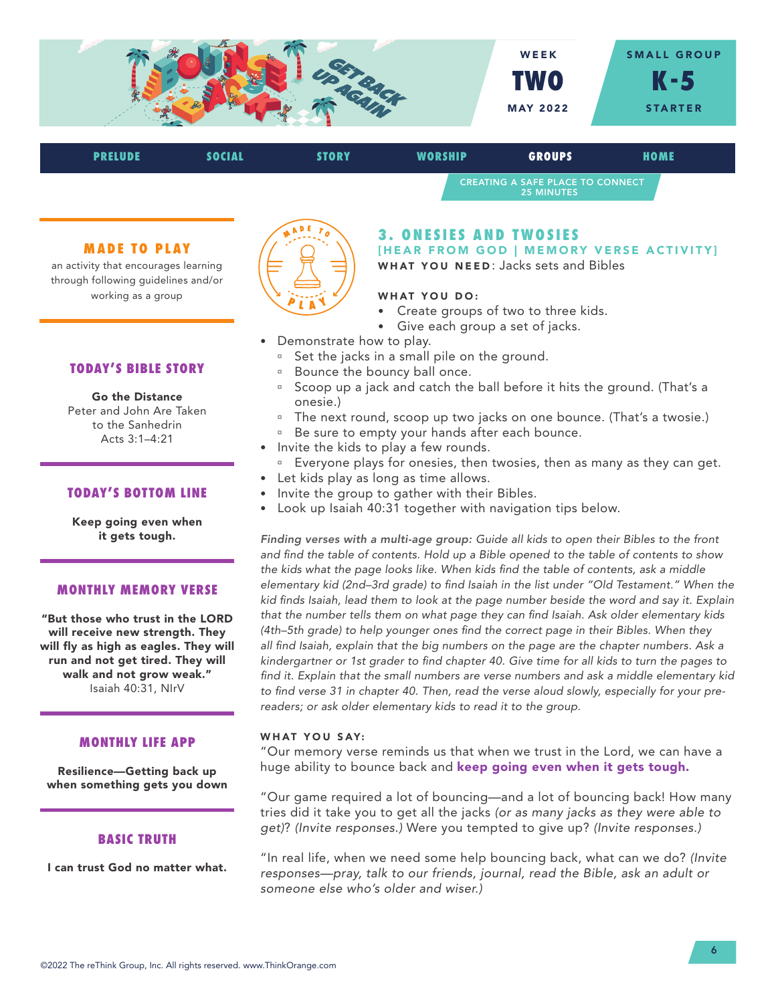

| <b>PRELUDE</b> | SOCIAL | <b>STORY</b>                                          | <b>WORSHIP</b> | <b>GROUPS</b> | HOME |  |
|----------------|--------|-------------------------------------------------------|----------------|---------------|------|--|
|                |        | CREATING A SAFE PLACE TO CONNECT<br><b>25 MINUTES</b> |                |               |      |  |

### **MADE TO PLAY**

an activity that encourages learning through following guidelines and/or working as a group

## **TODAY'S BIBLE STORY**

Go the Distance Peter and John Are Taken to the Sanhedrin Acts 3:1–4:21

#### **TODAY'S BOTTOM LINE**

Keep going even when it gets tough.

### **MONTHLY MEMORY VERSE**

"But those who trust in the LORD will receive new strength. They will fly as high as eagles. They will run and not get tired. They will walk and not grow weak." Isaiah 40:31, NIrV

#### **MONTHLY LIFE APP**

Resilience—Getting back up when something gets you down

## **BASIC TRUTH**

I can trust God no matter what.



# **3. ONESIES AND TWOSIES**

[HEAR FROM GOD | MEMORY VERSE ACTIVITY] WHAT YOU NEED: Jacks sets and Bibles

## WHAT YOU DO:

- Create groups of two to three kids.
- Give each group a set of jacks.
- Demonstrate how to play.
	- <sup>o</sup> Set the jacks in a small pile on the ground.
	- <sup>n</sup> Bounce the bouncy ball once.
	- <sup>n</sup> Scoop up a jack and catch the ball before it hits the ground. (That's a onesie.)
	- <sup>o</sup> The next round, scoop up two jacks on one bounce. (That's a twosie.)
	- <sup>□</sup> Be sure to empty your hands after each bounce.
- Invite the kids to play a few rounds.
- Everyone plays for onesies, then twosies, then as many as they can get.
- Let kids play as long as time allows.
- Invite the group to gather with their Bibles.
- Look up Isaiah 40:31 together with navigation tips below.

*Finding verses with a multi-age group: Guide all kids to open their Bibles to the front and find the table of contents. Hold up a Bible opened to the table of contents to show the kids what the page looks like. When kids find the table of contents, ask a middle elementary kid (2nd–3rd grade) to find Isaiah in the list under "Old Testament." When the kid finds Isaiah, lead them to look at the page number beside the word and say it. Explain that the number tells them on what page they can find Isaiah. Ask older elementary kids (4th–5th grade) to help younger ones find the correct page in their Bibles. When they all find Isaiah, explain that the big numbers on the page are the chapter numbers. Ask a kindergartner or 1st grader to find chapter 40. Give time for all kids to turn the pages to find it. Explain that the small numbers are verse numbers and ask a middle elementary kid to find verse 31 in chapter 40. Then, read the verse aloud slowly, especially for your prereaders; or ask older elementary kids to read it to the group.*

#### WHAT YOU SAY:

"Our memory verse reminds us that when we trust in the Lord, we can have a huge ability to bounce back and keep going even when it gets tough.

"Our game required a lot of bouncing—and a lot of bouncing back! How many tries did it take you to get all the jacks *(or as many jacks as they were able to get)*? *(Invite responses.)* Were you tempted to give up? *(Invite responses.)* 

"In real life, when we need some help bouncing back, what can we do? *(Invite responses—pray, talk to our friends, journal, read the Bible, ask an adult or someone else who's older and wiser.)*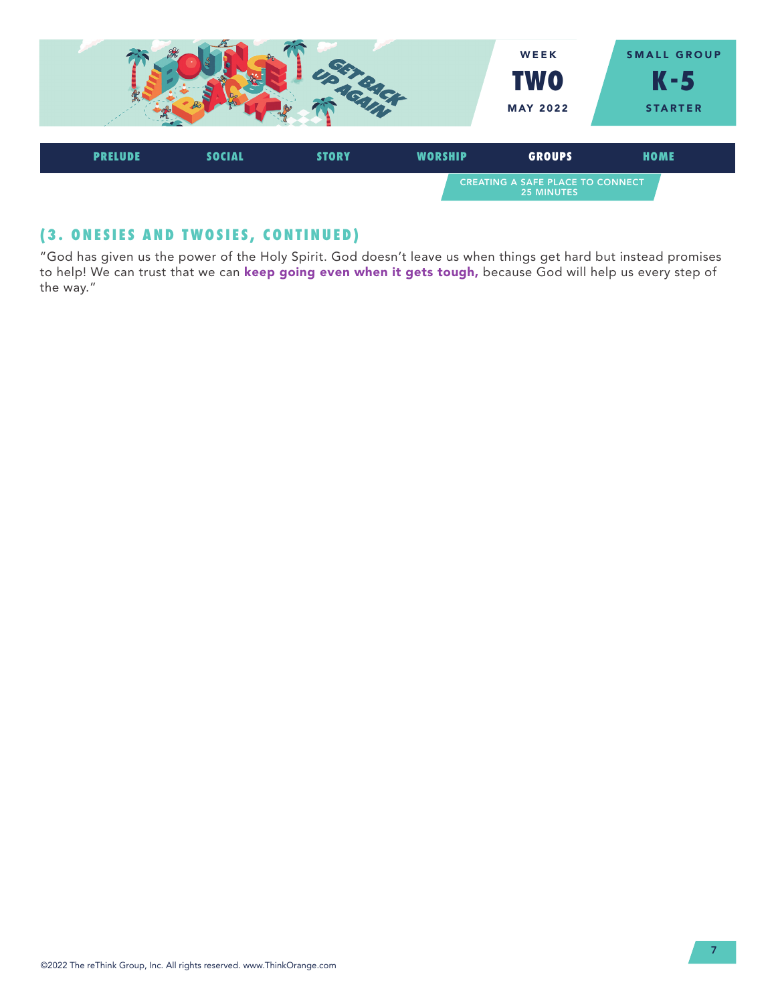

# **(3. ONESIES AND TWOSIES, CONTINUED)**

"God has given us the power of the Holy Spirit. God doesn't leave us when things get hard but instead promises to help! We can trust that we can keep going even when it gets tough, because God will help us every step of the way."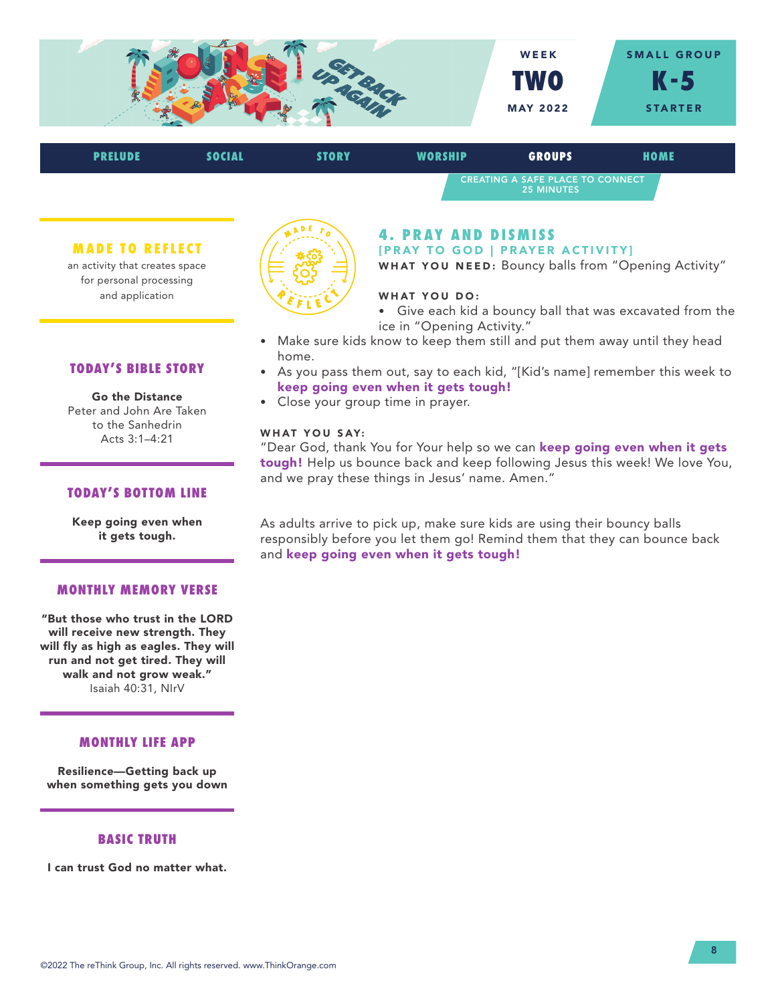

CREATING A SAFE PLACE TO CONNECT 25 MINUTES

#### **MADE TO REFLECT**

an activity that creates space for personal processing and application

**TODAY'S BIBLE STORY**

Go the Distance Peter and John Are Taken to the Sanhedrin Acts 3:1–4:21



#### **4. PRAY AND DISMISS** [PRAY TO GOD | PRAYER ACTIVITY]

WHAT YOU NEED: Bouncy balls from "Opening Activity"

## WHAT YOU DO:

• Give each kid a bouncy ball that was excavated from the ice in "Opening Activity."

- Make sure kids know to keep them still and put them away until they head home.
- As you pass them out, say to each kid, "[Kid's name] remember this week to keep going even when it gets tough!
- Close your group time in prayer.

## WHAT YOU SAY:

"Dear God, thank You for Your help so we can keep going even when it gets tough! Help us bounce back and keep following Jesus this week! We love You, and we pray these things in Jesus' name. Amen."

Keep going even when it gets tough.

**TODAY'S BOTTOM LINE**

## **MONTHLY MEMORY VERSE**

"But those who trust in the LORD will receive new strength. They will fly as high as eagles. They will run and not get tired. They will walk and not grow weak." Isaiah 40:31, NIrV

#### **MONTHLY LIFE APP**

Resilience—Getting back up when something gets you down

# **BASIC TRUTH**

I can trust God no matter what.

As adults arrive to pick up, make sure kids are using their bouncy balls responsibly before you let them go! Remind them that they can bounce back and keep going even when it gets tough!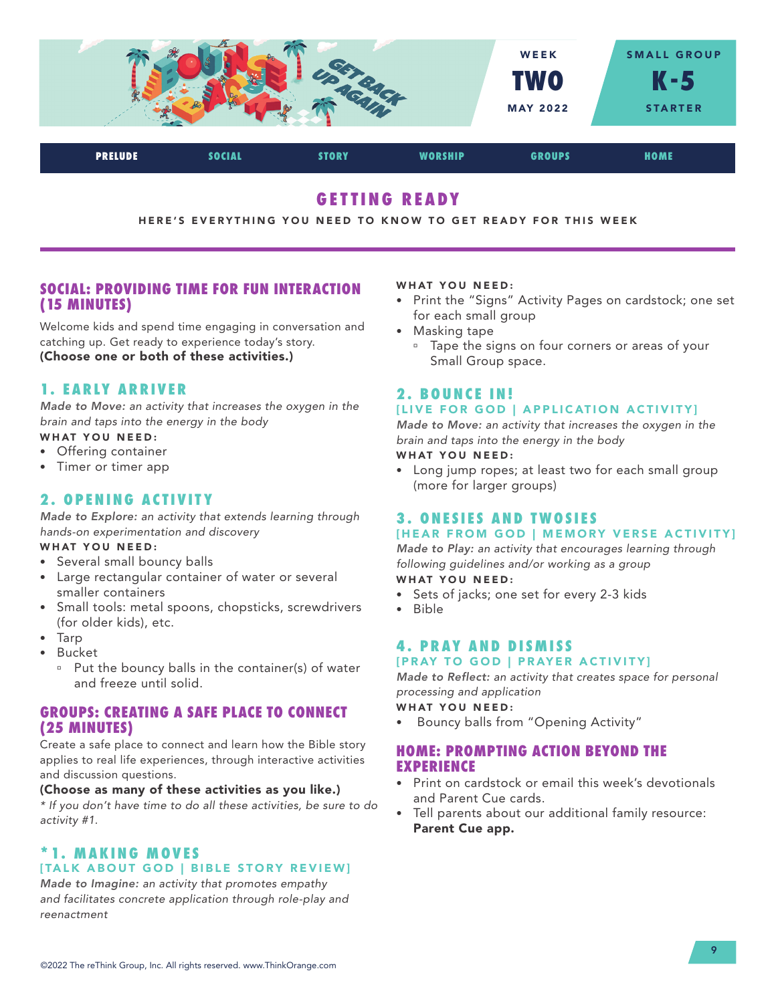

# **GETTING READY**

HERE'S EVERYTHING YOU NEED TO KNOW TO GET READY FOR THIS WEEK

# **SOCIAL: PROVIDING TIME FOR FUN INTERACTION (15 MINUTES)**

Welcome kids and spend time engaging in conversation and catching up. Get ready to experience today's story. (Choose one or both of these activities.)

# **1. EARLY ARRIVER**

*Made to Move: an activity that increases the oxygen in the brain and taps into the energy in the body*

- WHAT YOU NEED:
- Offering container
- Timer or timer app

# **2. OPENING ACTIVITY**

*Made to Explore: an activity that extends learning through hands-on experimentation and discovery*

## WHAT YOU NEED:

- Several small bouncy balls
- Large rectangular container of water or several smaller containers
- Small tools: metal spoons, chopsticks, screwdrivers (for older kids), etc.
- Tarp
- Bucket
	- <sup>o</sup> Put the bouncy balls in the container(s) of water and freeze until solid.

# **GROUPS: CREATING A SAFE PLACE TO CONNECT (25 MINUTES)**

Create a safe place to connect and learn how the Bible story applies to real life experiences, through interactive activities and discussion questions.

## (Choose as many of these activities as you like.)

*\* If you don't have time to do all these activities, be sure to do activity #1.*

# **\* 1. M A K I N G M O V E S**  [TALK ABOUT GOD | BIBLE STORY REVIEW]

*Made to Imagine: an activity that promotes empathy and facilitates concrete application through role-play and reenactment*

### WHAT YOU NEED:

- Print the "Signs" Activity Pages on cardstock; one set for each small group
- Masking tape
	- Tape the signs on four corners or areas of your Small Group space.

# **2 . B O U N C E I N !**

# [LIVE FOR GOD | APPLICATION ACTIVITY]

*Made to Move: an activity that increases the oxygen in the brain and taps into the energy in the body*

WHAT YOU NEED:

• Long jump ropes; at least two for each small group (more for larger groups)

# **3. ONESIES AND TWOSIES**

# [HEAR FROM GOD | MEMORY VERSE ACTIVITY]

*Made to Play: an activity that encourages learning through following guidelines and/or working as a group* WHAT YOU NEED:

- 
- Sets of jacks; one set for every 2-3 kids
- Bible

## **4. PRAY AND DISMISS** [PRAY TO GOD | PRAYER ACTIVITY]

*Made to Reflect: an activity that creates space for personal processing and application*

WHAT YOU NEED:

• Bouncy balls from "Opening Activity"

# **HOME: PROMPTING ACTION BEYOND THE EXPERIENCE**

- Print on cardstock or email this week's devotionals and Parent Cue cards.
- Tell parents about our additional family resource: Parent Cue app.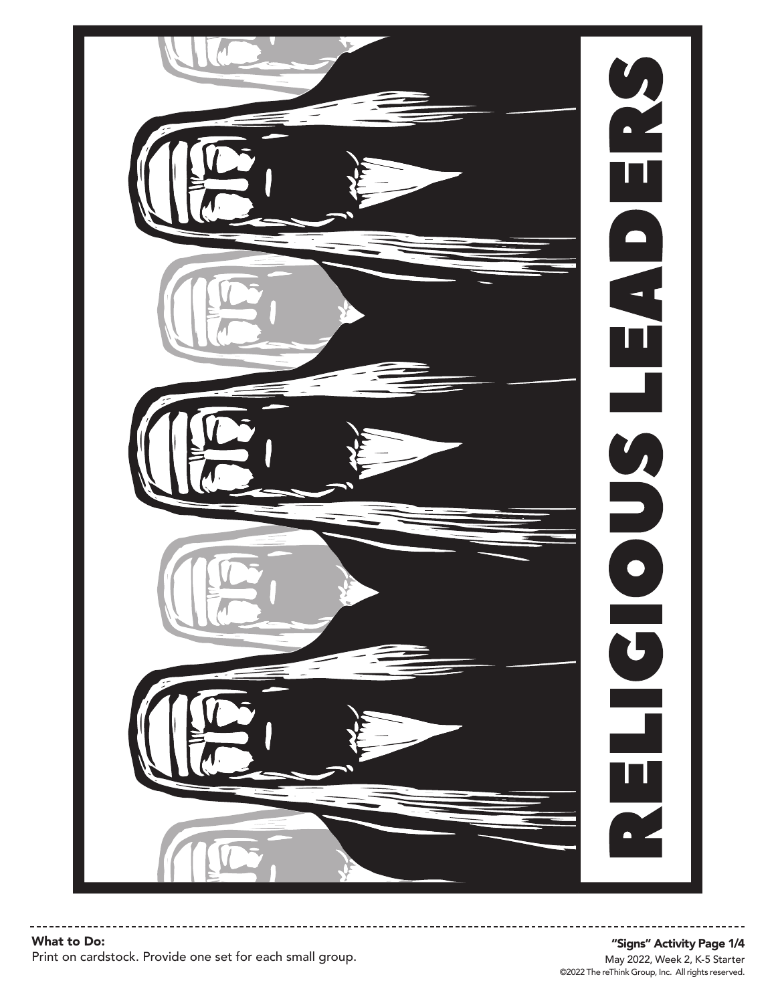

©2022 The reThink Group, Inc. All rights reserved. May 2022, Week 2, K-5 Starter "Signs" Activity Page 1/4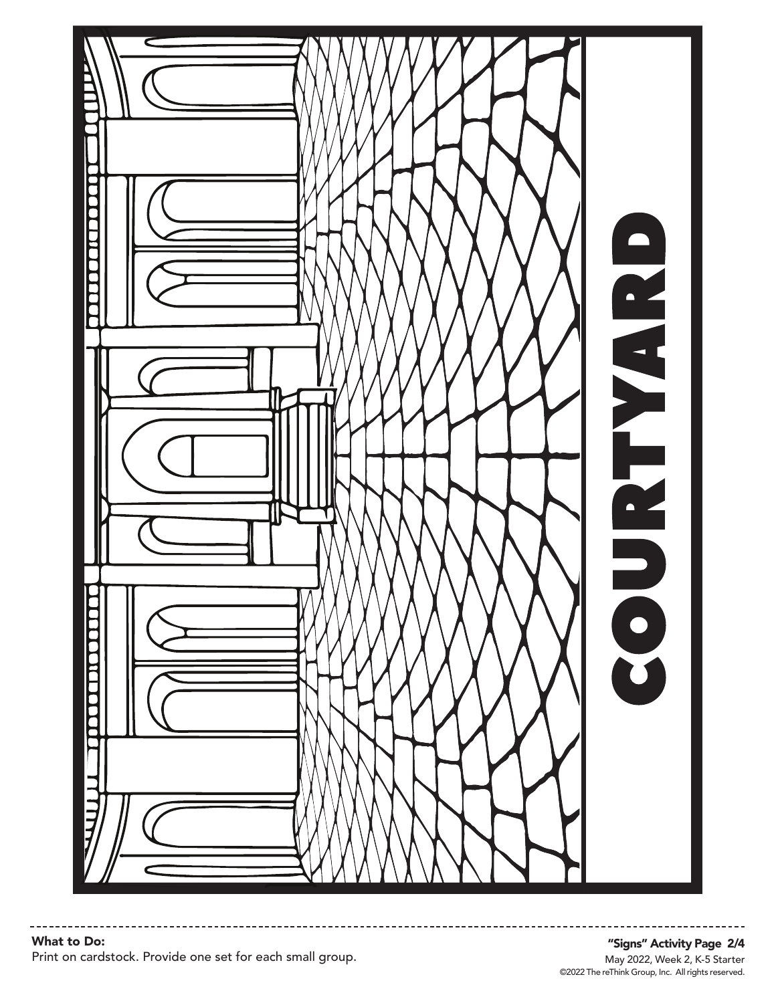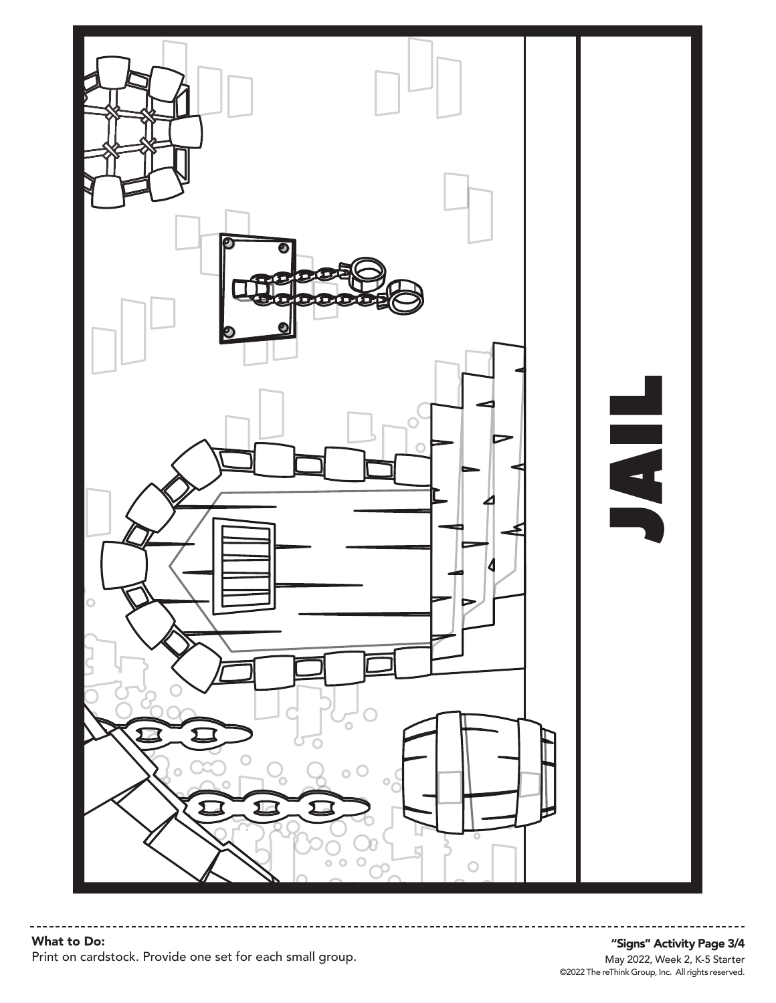